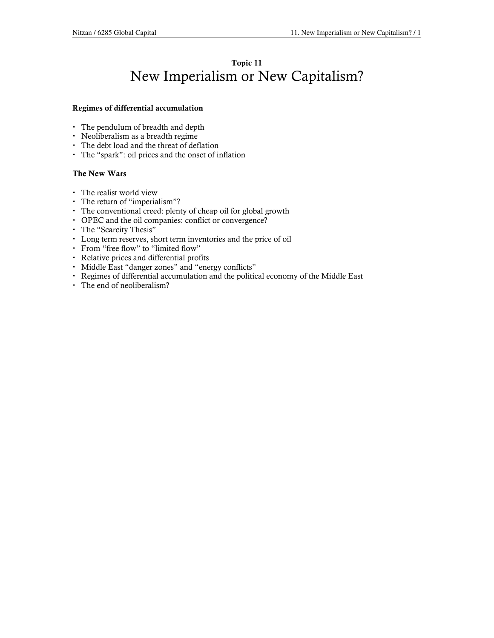## Topic 11 New Imperialism or New Capitalism?

### Regimes of differential accumulation

- The pendulum of breadth and depth
- Neoliberalism as a breadth regime
- The debt load and the threat of deflation
- The "spark": oil prices and the onset of inflation

### The New Wars

- The realist world view
- The return of "imperialism"?
- The conventional creed: plenty of cheap oil for global growth
- OPEC and the oil companies: conflict or convergence?
- The "Scarcity Thesis"
- Long term reserves, short term inventories and the price of oil
- From "free flow" to "limited flow"
- Relative prices and differential profits
- Middle East "danger zones" and "energy conflicts"
- Regimes of differential accumulation and the political economy of the Middle East
- The end of neoliberalism?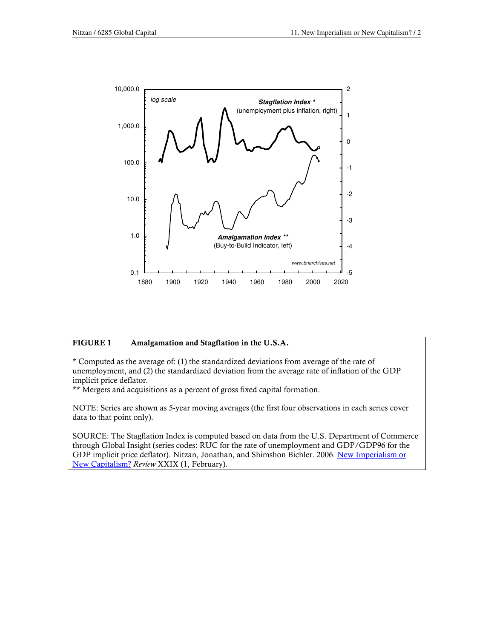

#### FIGURE 1 Amalgamation and Stagflation in the U.S.A.

\* Computed as the average of: (1) the standardized deviations from average of the rate of unemployment, and (2) the standardized deviation from the average rate of inflation of the GDP implicit price deflator.

\*\* Mergers and acquisitions as a percent of gross fixed capital formation.

NOTE: Series are shown as 5-year moving averages (the first four observations in each series cover data to that point only).

SOURCE: The Stagflation Index is computed based on data from the U.S. Department of Commerce through Global Insight (series codes: RUC for the rate of unemployment and GDP/GDP96 for the GDP implicit price deflator). Nitzan, Jonathan, and Shimshon Bichler. 2006. New Imperialism or New Capitalism? Review XXIX (1, February).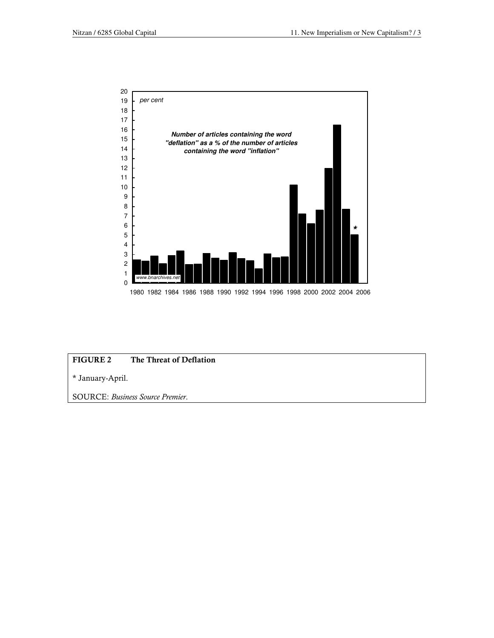

## FIGURE 2 The Threat of Deflation

\* January-April.

SOURCE: Business Source Premier.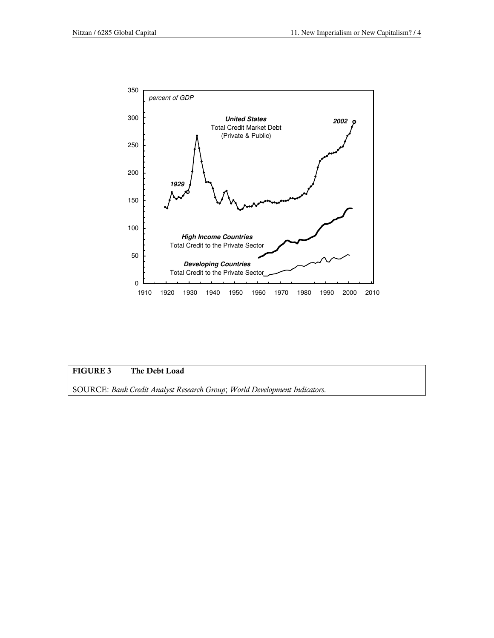

### FIGURE 3 The Debt Load

SOURCE: Bank Credit Analyst Research Group; World Development Indicators.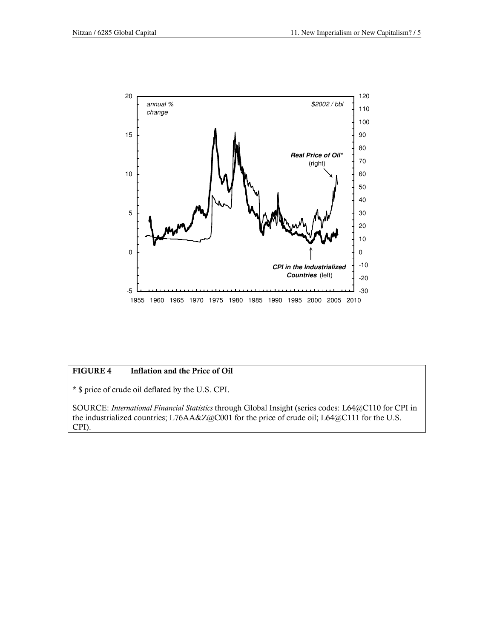

### FIGURE 4 Inflation and the Price of Oil

\* \$ price of crude oil deflated by the U.S. CPI.

SOURCE: International Financial Statistics through Global Insight (series codes: L64@C110 for CPI in the industrialized countries; L76AA&Z@C001 for the price of crude oil; L64@C111 for the U.S. CPI).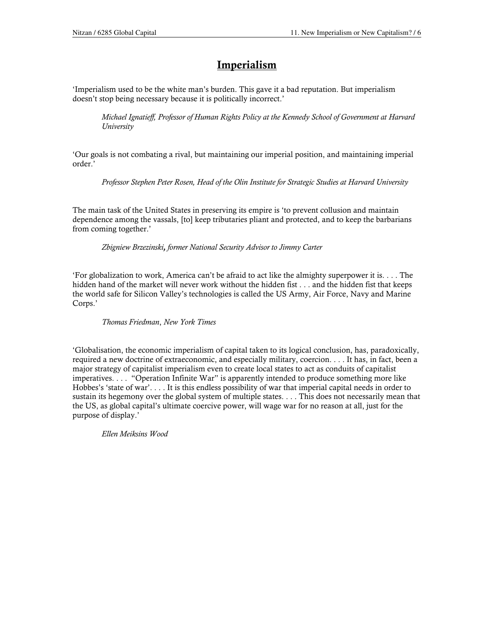# **Imperialism**

'Imperialism used to be the white man's burden. This gave it a bad reputation. But imperialism doesn't stop being necessary because it is politically incorrect.'

Michael Ignatieff, Professor of Human Rights Policy at the Kennedy School of Government at Harvard University

'Our goals is not combating a rival, but maintaining our imperial position, and maintaining imperial order.'

Professor Stephen Peter Rosen, Head of the Olin Institute for Strategic Studies at Harvard University

The main task of the United States in preserving its empire is 'to prevent collusion and maintain dependence among the vassals, [to] keep tributaries pliant and protected, and to keep the barbarians from coming together.'

Zbigniew Brzezinski, former National Security Advisor to Jimmy Carter

'For globalization to work, America can't be afraid to act like the almighty superpower it is. . . . The hidden hand of the market will never work without the hidden fist . . . and the hidden fist that keeps the world safe for Silicon Valley's technologies is called the US Army, Air Force, Navy and Marine Corps.'

### Thomas Friedman, New York Times

'Globalisation, the economic imperialism of capital taken to its logical conclusion, has, paradoxically, required a new doctrine of extraeconomic, and especially military, coercion. . . . It has, in fact, been a major strategy of capitalist imperialism even to create local states to act as conduits of capitalist imperatives. . . . "Operation Infinite War" is apparently intended to produce something more like Hobbes's 'state of war'. . . . It is this endless possibility of war that imperial capital needs in order to sustain its hegemony over the global system of multiple states. . . . This does not necessarily mean that the US, as global capital's ultimate coercive power, will wage war for no reason at all, just for the purpose of display.'

Ellen Meiksins Wood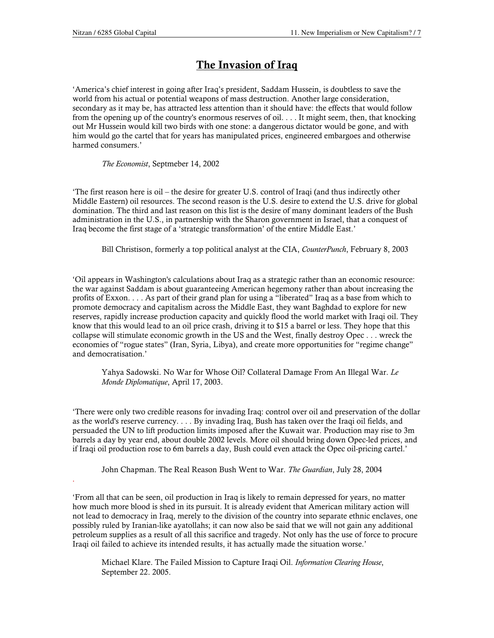.

# The Invasion of Iraq

'America's chief interest in going after Iraq's president, Saddam Hussein, is doubtless to save the world from his actual or potential weapons of mass destruction. Another large consideration, secondary as it may be, has attracted less attention than it should have: the effects that would follow from the opening up of the country's enormous reserves of oil. . . . It might seem, then, that knocking out Mr Hussein would kill two birds with one stone: a dangerous dictator would be gone, and with him would go the cartel that for years has manipulated prices, engineered embargoes and otherwise harmed consumers.'

The Economist, Septmeber 14, 2002

'The first reason here is oil – the desire for greater U.S. control of Iraqi (and thus indirectly other Middle Eastern) oil resources. The second reason is the U.S. desire to extend the U.S. drive for global domination. The third and last reason on this list is the desire of many dominant leaders of the Bush administration in the U.S., in partnership with the Sharon government in Israel, that a conquest of Iraq become the first stage of a 'strategic transformation' of the entire Middle East.'

Bill Christison, formerly a top political analyst at the CIA, CounterPunch, February 8, 2003

'Oil appears in Washington's calculations about Iraq as a strategic rather than an economic resource: the war against Saddam is about guaranteeing American hegemony rather than about increasing the profits of Exxon. . . . As part of their grand plan for using a "liberated" Iraq as a base from which to promote democracy and capitalism across the Middle East, they want Baghdad to explore for new reserves, rapidly increase production capacity and quickly flood the world market with Iraqi oil. They know that this would lead to an oil price crash, driving it to \$15 a barrel or less. They hope that this collapse will stimulate economic growth in the US and the West, finally destroy Opec . . . wreck the economies of "rogue states" (Iran, Syria, Libya), and create more opportunities for "regime change" and democratisation.'

Yahya Sadowski. No War for Whose Oil? Collateral Damage From An Illegal War. Le Monde Diplomatique, April 17, 2003.

'There were only two credible reasons for invading Iraq: control over oil and preservation of the dollar as the world's reserve currency. . . . By invading Iraq, Bush has taken over the Iraqi oil fields, and persuaded the UN to lift production limits imposed after the Kuwait war. Production may rise to 3m barrels a day by year end, about double 2002 levels. More oil should bring down Opec-led prices, and if Iraqi oil production rose to 6m barrels a day, Bush could even attack the Opec oil-pricing cartel.'

John Chapman. The Real Reason Bush Went to War. The Guardian, July 28, 2004

'From all that can be seen, oil production in Iraq is likely to remain depressed for years, no matter how much more blood is shed in its pursuit. It is already evident that American military action will not lead to democracy in Iraq, merely to the division of the country into separate ethnic enclaves, one possibly ruled by Iranian-like ayatollahs; it can now also be said that we will not gain any additional petroleum supplies as a result of all this sacrifice and tragedy. Not only has the use of force to procure Iraqi oil failed to achieve its intended results, it has actually made the situation worse.'

Michael Klare. The Failed Mission to Capture Iraqi Oil. Information Clearing House, September 22. 2005.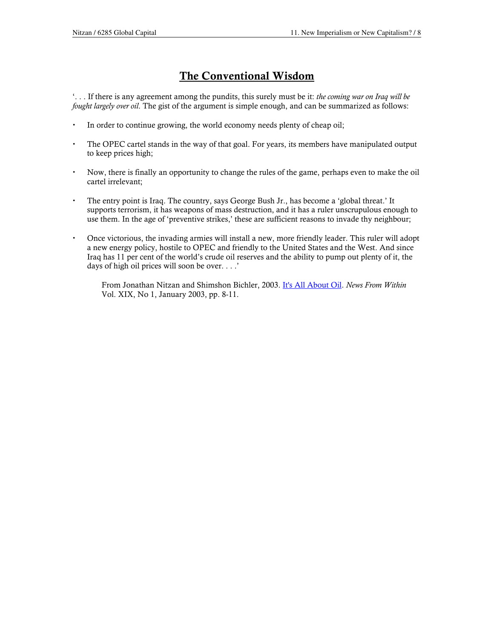# The Conventional Wisdom

'. . . If there is any agreement among the pundits, this surely must be it: the coming war on Iraq will be fought largely over oil. The gist of the argument is simple enough, and can be summarized as follows:

- In order to continue growing, the world economy needs plenty of cheap oil;
- The OPEC cartel stands in the way of that goal. For years, its members have manipulated output to keep prices high;
- Now, there is finally an opportunity to change the rules of the game, perhaps even to make the oil cartel irrelevant;
- The entry point is Iraq. The country, says George Bush Jr., has become a 'global threat.' It supports terrorism, it has weapons of mass destruction, and it has a ruler unscrupulous enough to use them. In the age of 'preventive strikes,' these are sufficient reasons to invade thy neighbour;
- Once victorious, the invading armies will install a new, more friendly leader. This ruler will adopt a new energy policy, hostile to OPEC and friendly to the United States and the West. And since Iraq has 11 per cent of the world's crude oil reserves and the ability to pump out plenty of it, the days of high oil prices will soon be over. . . .'

From Jonathan Nitzan and Shimshon Bichler, 2003. It's All About Oil. News From Within Vol. XIX, No 1, January 2003, pp. 8-11.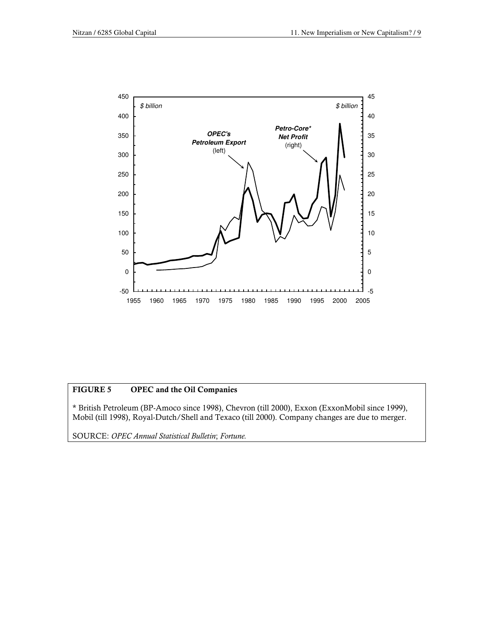

### FIGURE 5 OPEC and the Oil Companies

\* British Petroleum (BP-Amoco since 1998), Chevron (till 2000), Exxon (ExxonMobil since 1999), Mobil (till 1998), Royal-Dutch/Shell and Texaco (till 2000). Company changes are due to merger.

SOURCE: OPEC Annual Statistical Bulletin; Fortune.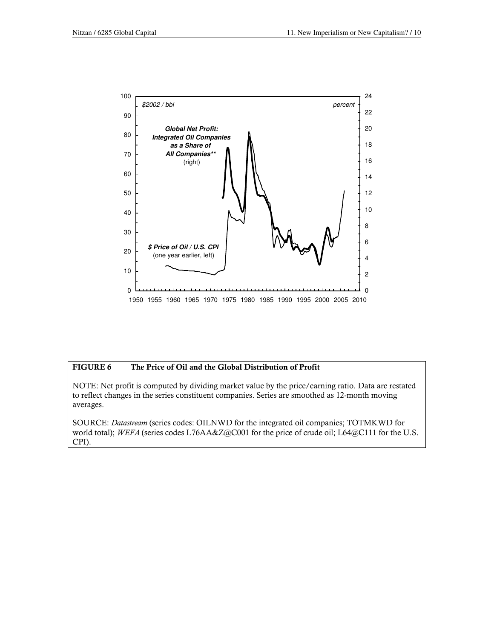

#### FIGURE 6 The Price of Oil and the Global Distribution of Profit

NOTE: Net profit is computed by dividing market value by the price/earning ratio. Data are restated to reflect changes in the series constituent companies. Series are smoothed as 12-month moving averages.

SOURCE: Datastream (series codes: OILNWD for the integrated oil companies; TOTMKWD for world total); WEFA (series codes L76AA&Z@C001 for the price of crude oil; L64@C111 for the U.S. CPI).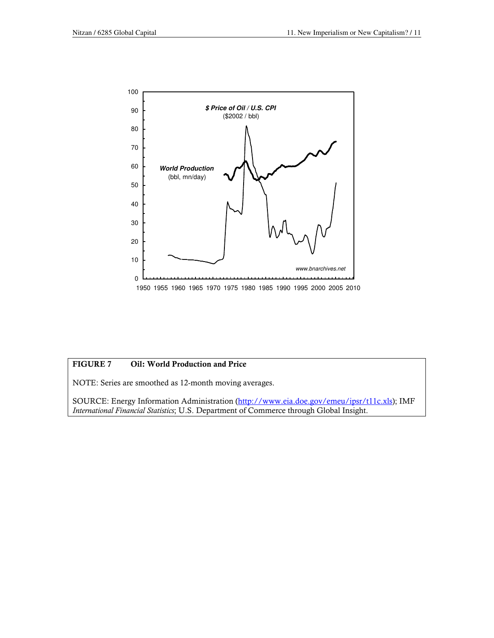

## FIGURE 7 Oil: World Production and Price

NOTE: Series are smoothed as 12-month moving averages.

SOURCE: Energy Information Administration (http://www.eia.doe.gov/emeu/ipsr/t11c.xls); IMF International Financial Statistics; U.S. Department of Commerce through Global Insight.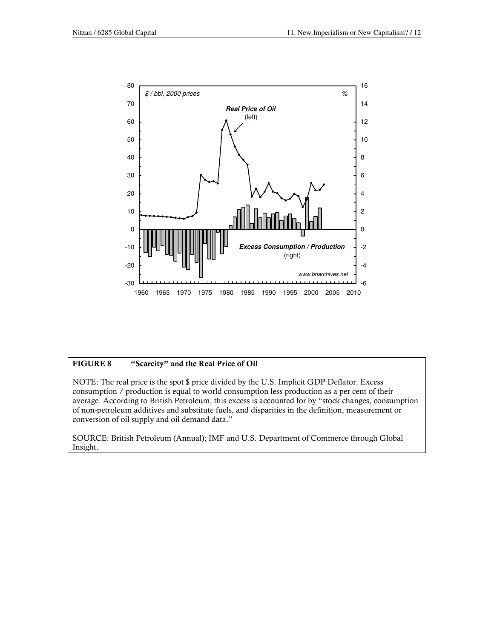

## FIGURE 8 "Scarcity" and the Real Price of Oil

NOTE: The real price is the spot \$ price divided by the U.S. Implicit GDP Deflator. Excess consumption / production is equal to world consumption less production as a per cent of their average. According to British Petroleum, this excess is accounted for by "stock changes, consumption of non-petroleum additives and substitute fuels, and disparities in the definition, measurement or conversion of oil supply and oil demand data."

SOURCE: British Petroleum (Annual); IMF and U.S. Department of Commerce through Global Insight.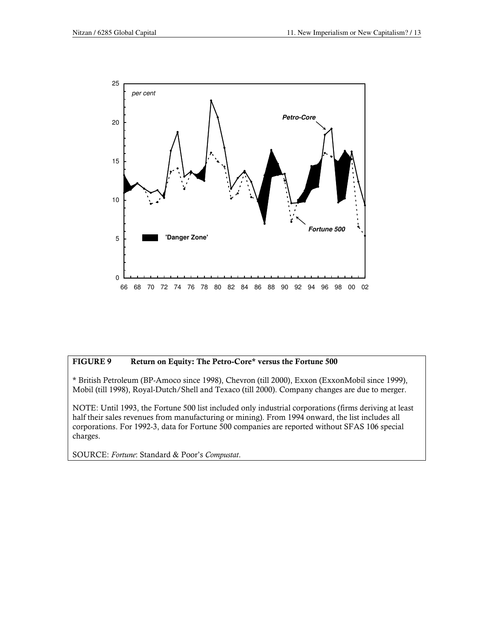

#### FIGURE 9 Return on Equity: The Petro-Core\* versus the Fortune 500

\* British Petroleum (BP-Amoco since 1998), Chevron (till 2000), Exxon (ExxonMobil since 1999), Mobil (till 1998), Royal-Dutch/Shell and Texaco (till 2000). Company changes are due to merger.

NOTE: Until 1993, the Fortune 500 list included only industrial corporations (firms deriving at least half their sales revenues from manufacturing or mining). From 1994 onward, the list includes all corporations. For 1992-3, data for Fortune 500 companies are reported without SFAS 106 special charges.

SOURCE: Fortune: Standard & Poor's Compustat.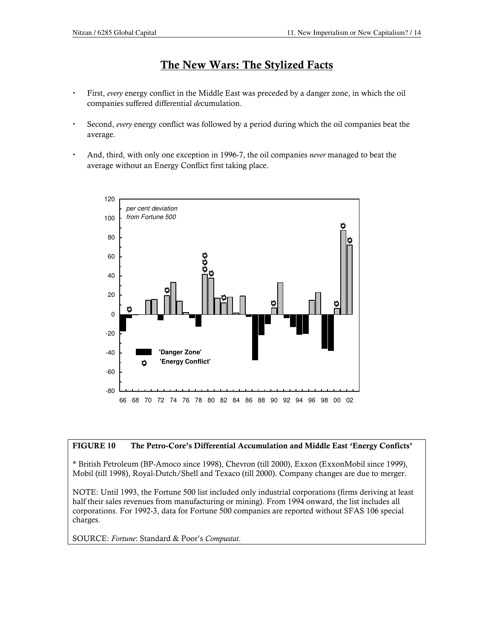## The New Wars: The Stylized Facts

- First, every energy conflict in the Middle East was preceded by a danger zone, in which the oil companies suffered differential decumulation.
- Second, every energy conflict was followed by a period during which the oil companies beat the average.
- And, third, with only one exception in 1996-7, the oil companies never managed to beat the average without an Energy Conflict first taking place.



### FIGURE 10 The Petro-Core's Differential Accumulation and Middle East 'Energy Conficts'

\* British Petroleum (BP-Amoco since 1998), Chevron (till 2000), Exxon (ExxonMobil since 1999), Mobil (till 1998), Royal-Dutch/Shell and Texaco (till 2000). Company changes are due to merger.

NOTE: Until 1993, the Fortune 500 list included only industrial corporations (firms deriving at least half their sales revenues from manufacturing or mining). From 1994 onward, the list includes all corporations. For 1992-3, data for Fortune 500 companies are reported without SFAS 106 special charges.

SOURCE: Fortune: Standard & Poor's Compustat.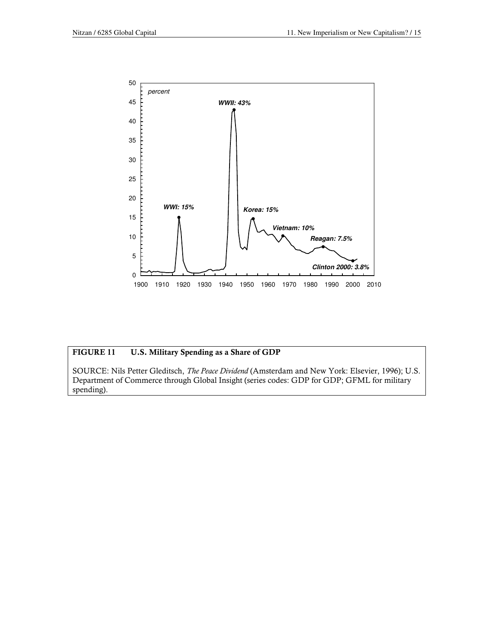

### FIGURE 11 U.S. Military Spending as a Share of GDP

SOURCE: Nils Petter Gleditsch, The Peace Dividend (Amsterdam and New York: Elsevier, 1996); U.S. Department of Commerce through Global Insight (series codes: GDP for GDP; GFML for military spending).